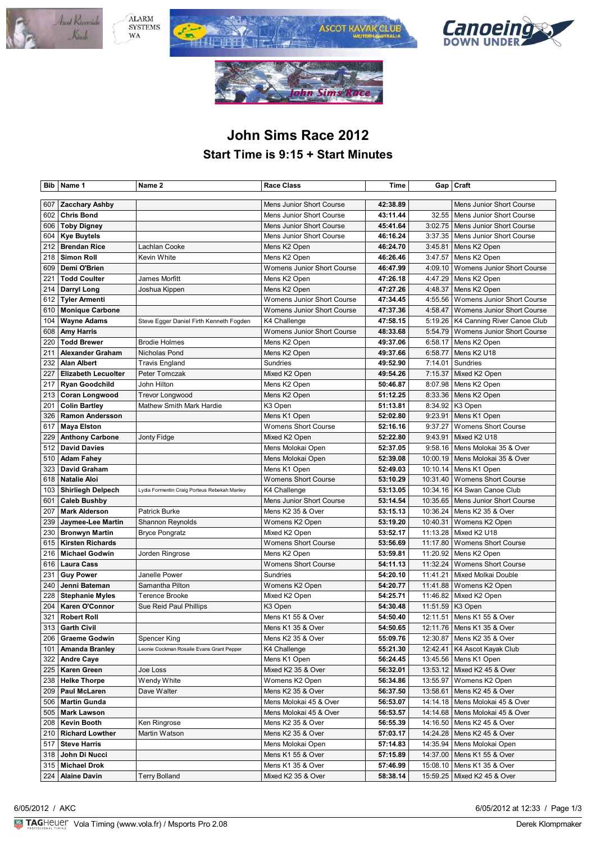







## **John Sims Race 2012 Start Time is 9:15 + Start Minutes**

ohn Sims Rac

| Bib        | Name 1                                        | Name 2                                       | <b>Race Class</b>                                    | Time                 |          | Gap   Craft                                                  |
|------------|-----------------------------------------------|----------------------------------------------|------------------------------------------------------|----------------------|----------|--------------------------------------------------------------|
|            |                                               |                                              |                                                      |                      |          |                                                              |
| 607        | <b>Zacchary Ashby</b>                         |                                              | Mens Junior Short Course                             | 42:38.89             |          | Mens Junior Short Course                                     |
| 602        | <b>Chris Bond</b>                             |                                              | Mens Junior Short Course                             | 43:11.44             |          | 32.55   Mens Junior Short Course                             |
| 606        | <b>Toby Digney</b>                            |                                              | Mens Junior Short Course<br>Mens Junior Short Course | 45:41.64             | 3:02.75  | Mens Junior Short Course                                     |
| 604<br>212 | <b>Kye Buytels</b><br><b>Brendan Rice</b>     | Lachlan Cooke                                | Mens K2 Open                                         | 46:16.24<br>46:24.70 | 3:37.35  | Mens Junior Short Course<br>3:45.81   Mens K2 Open           |
| 218        | <b>Simon Roll</b>                             | Kevin White                                  |                                                      |                      |          |                                                              |
| 609        | Demi O'Brien                                  |                                              | Mens K2 Open<br><b>Womens Junior Short Course</b>    | 46:26.46<br>46:47.99 | 4:09.10  | 3:47.57   Mens K2 Open<br>Womens Junior Short Course         |
| 221        | <b>Todd Coulter</b>                           | James Morfitt                                | Mens K2 Open                                         | 47:26.18             | 4:47.29  | Mens K2 Open                                                 |
| 214        | Darryl Long                                   | Joshua Kippen                                | Mens K2 Open                                         | 47:27.26             | 4:48.37  | Mens K2 Open                                                 |
| 612        | <b>Tyler Armenti</b>                          |                                              | Womens Junior Short Course                           | 47:34.45             |          | 4:55.56   Womens Junior Short Course                         |
| 610        | <b>Monique Carbone</b>                        |                                              | Womens Junior Short Course                           | 47:37.36             | 4:58.47  | Womens Junior Short Course                                   |
| 104        | <b>Wayne Adams</b>                            | Steve Egger Daniel Firth Kenneth Fogden      | K4 Challenge                                         | 47:58.15             | 5:19.26  | K4 Canning River Canoe Club                                  |
| 608        | <b>Amy Harris</b>                             |                                              | <b>Womens Junior Short Course</b>                    | 48:33.68             | 5:54.79  | Womens Junior Short Course                                   |
| 220        | <b>Todd Brewer</b>                            | <b>Brodie Holmes</b>                         | Mens K2 Open                                         | 49:37.06             |          | 6:58.17   Mens K2 Open                                       |
| 211        | <b>Alexander Graham</b>                       | Nicholas Pond                                | Mens K2 Open                                         | 49:37.66             |          | 6:58.77   Mens K2 U18                                        |
| 232        | <b>Alan Albert</b>                            | <b>Travis England</b>                        | Sundries                                             | 49:52.90             | 7:14.01  | Sundries                                                     |
| 227        | <b>Elizabeth Lecuolter</b>                    | Peter Tomczak                                | Mixed K2 Open                                        | 49:54.26             | 7:15.37  | Mixed K2 Open                                                |
| 217        | <b>Ryan Goodchild</b>                         | John Hilton                                  | Mens K2 Open                                         | 50:46.87             | 8:07.98  | Mens K2 Open                                                 |
| 213        | <b>Coran Longwood</b>                         | <b>Trevor Longwood</b>                       | Mens K2 Open                                         | 51:12.25             |          | 8:33.36   Mens K2 Open                                       |
| 201        | <b>Colin Bartley</b>                          | Mathew Smith Mark Hardie                     | K3 Open                                              | 51:13.81             | 8:34.92  | K3 Open                                                      |
| 326        | <b>Ramon Andersson</b>                        |                                              | Mens K1 Open                                         | 52:02.80             | 9:23.91  | Mens K1 Open                                                 |
| 617        | <b>Maya Elston</b>                            |                                              | <b>Womens Short Course</b>                           | 52:16.16             |          | 9:37.27   Womens Short Course                                |
| 229        | <b>Anthony Carbone</b>                        | Jonty Fidge                                  | Mixed K2 Open                                        | 52:22.80             | 9:43.91  | Mixed K2 U18                                                 |
| 512        | <b>David Davies</b>                           |                                              | Mens Molokai Open                                    | 52:37.05             | 9:58.16  | Mens Molokai 35 & Over                                       |
| 510        | <b>Adam Fahey</b>                             |                                              | Mens Molokai Open                                    | 52:39.08             | 10:00.19 | Mens Molokai 35 & Over                                       |
| 323        | <b>David Graham</b>                           |                                              | Mens K1 Open                                         | 52:49.03             |          | 10:10.14   Mens K1 Open                                      |
| 618        | <b>Natalie Aloi</b>                           |                                              | <b>Womens Short Course</b>                           | 53:10.29             |          | 10:31.40   Womens Short Course                               |
| 103        | <b>Shirliegh Delpech</b>                      | Lydia Formentin Craig Porteus Rebekah Manley | K4 Challenge                                         | 53:13.05             |          | 10:34.16   K4 Swan Canoe Club                                |
| 601        | <b>Caleb Bushby</b>                           |                                              | Mens Junior Short Course                             | 53:14.54             |          | 10:35.65   Mens Junior Short Course                          |
| 207        | <b>Mark Alderson</b>                          | <b>Patrick Burke</b>                         | Mens K2 35 & Over                                    | 53:15.13             |          | 10:36.24   Mens K2 35 & Over                                 |
| 239        | Jaymee-Lee Martin                             | Shannon Reynolds                             | Womens K2 Open                                       | 53:19.20             |          | 10:40.31   Womens K2 Open                                    |
| 230        | <b>Bronwyn Martin</b>                         | <b>Bryce Pongratz</b>                        | Mixed K2 Open                                        | 53:52.17             |          | 11:13.28 Mixed K2 U18                                        |
| 615        | <b>Kirsten Richards</b>                       |                                              | <b>Womens Short Course</b>                           | 53:56.69             | 11:17.80 | <b>Womens Short Course</b>                                   |
| 216        | <b>Michael Godwin</b>                         | Jorden Ringrose                              | Mens K2 Open                                         | 53:59.81             | 11:20.92 | Mens K2 Open                                                 |
| 616        | <b>Laura Cass</b>                             |                                              | <b>Womens Short Course</b>                           | 54:11.13             |          | 11:32.24   Womens Short Course                               |
| 231        | <b>Guy Power</b>                              | Janelle Power                                | Sundries                                             | 54:20.10             | 11:41.21 | Mixed Molkai Double                                          |
| 240        | Jenni Bateman                                 | Samantha Pilton                              | Womens K2 Open                                       | 54:20.77             |          | 11:41.88   Womens K2 Open                                    |
| 228        | <b>Stephanie Myles</b>                        | <b>Terence Brooke</b>                        | Mixed K2 Open                                        | 54:25.71             | 11:46.82 | Mixed K2 Open                                                |
| 204        | <b>Karen O'Connor</b>                         | Sue Reid Paul Phillips                       | K3 Open                                              | 54:30.48             |          | 11:51.59 K3 Open                                             |
| 321        | <b>Robert Roll</b>                            |                                              | Mens K1 55 & Over                                    | 54:50.40             |          | 12:11.51   Mens K1 55 & Over                                 |
| 313        | <b>Garth Civil</b>                            |                                              | Mens K1 35 & Over                                    | 54:50.65             |          | 12:11.76 Mens K1 35 & Over                                   |
| 206        | <b>Graeme Godwin</b>                          | Spencer King                                 | Mens K2 35 & Over                                    | 55:09.76             |          | 12:30.87   Mens K2 35 & Over                                 |
| 101        | <b>Amanda Branley</b>                         | Leonie Cockman Rosalie Evans Grant Pepper    | K4 Challenge                                         | 55:21.30             |          | 12:42.41   K4 Ascot Kayak Club                               |
|            | 322   Andre Caye                              |                                              | Mens K1 Open                                         | 56:24.45             |          | 13:45.56   Mens K1 Open                                      |
| 225        | <b>Karen Green</b>                            | Joe Loss                                     | Mixed K2 35 & Over                                   | 56:32.01             |          | 13:53.12 Mixed K2 45 & Over                                  |
| 238        | <b>Helke Thorpe</b>                           | Wendy White                                  | Womens K2 Open                                       | 56:34.86             |          | 13:55.97   Womens K2 Open                                    |
| 209        | Paul McLaren                                  | Dave Walter                                  | Mens K2 35 & Over                                    | 56:37.50             |          | 13:58.61   Mens K2 45 & Over                                 |
| 506        | <b>Martin Gunda</b>                           |                                              | Mens Molokai 45 & Over                               | 56:53.07             |          | 14:14.18   Mens Molokai 45 & Over                            |
| 505        | <b>Mark Lawson</b>                            |                                              | Mens Molokai 45 & Over<br>Mens K2 35 & Over          | 56:53.57             |          | 14:14.68   Mens Molokai 45 & Over                            |
| 208        | <b>Kevin Booth</b>                            | Ken Ringrose                                 |                                                      | 56:55.39             |          | 14:16.50   Mens K2 45 & Over<br>14:24.28   Mens K2 45 & Over |
| 210<br>517 | <b>Richard Lowther</b><br><b>Steve Harris</b> | Martin Watson                                | Mens K2 35 & Over<br>Mens Molokai Open               | 57:03.17<br>57:14.83 |          | 14:35.94   Mens Molokai Open                                 |
|            | 318 John Di Nucci                             |                                              | Mens K1 55 & Over                                    | 57:15.89             |          | 14:37.00   Mens K1 55 & Over                                 |
|            | 315   Michael Drok                            |                                              | Mens K1 35 & Over                                    | 57:46.99             |          | 15:08.10   Mens K1 35 & Over                                 |
|            | 224   Alaine Davin                            | <b>Terry Bolland</b>                         | Mixed K2 35 & Over                                   | 58:38.14             |          | 15:59.25   Mixed K2 45 & Over                                |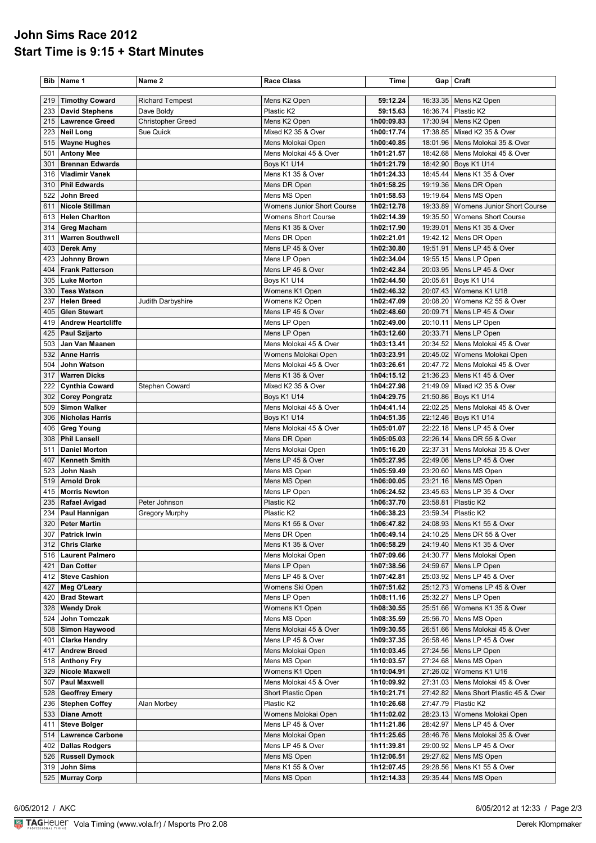## **John Sims Race 2012 Start Time is 9:15 + Start Minutes**

|     | Bib   Name 1              | Name 2                   | <b>Race Class</b>          | Time       |          | Gap   Craft                             |
|-----|---------------------------|--------------------------|----------------------------|------------|----------|-----------------------------------------|
|     |                           |                          |                            |            |          |                                         |
| 219 | <b>Timothy Coward</b>     | <b>Richard Tempest</b>   | Mens K2 Open               | 59:12.24   |          | 16:33.35   Mens K2 Open                 |
| 233 | <b>David Stephens</b>     | Dave Boldy               | Plastic K2                 | 59:15.63   |          | 16:36.74   Plastic K2                   |
| 215 | <b>Lawrence Greed</b>     | <b>Christopher Greed</b> | Mens K2 Open               | 1h00:09.83 |          | 17:30.94   Mens K2 Open                 |
| 223 | <b>Neil Long</b>          | Sue Quick                | Mixed K2 35 & Over         | 1h00:17.74 | 17:38.85 | Mixed K2 35 & Over                      |
| 515 | <b>Wayne Hughes</b>       |                          | Mens Molokai Open          | 1h00:40.85 |          | 18:01.96   Mens Molokai 35 & Over       |
| 501 | <b>Antony Mee</b>         |                          | Mens Molokai 45 & Over     | 1h01:21.57 |          | 18:42.68   Mens Molokai 45 & Over       |
| 301 | <b>Brennan Edwards</b>    |                          | Boys K1 U14                | 1h01:21.79 |          | 18:42.90   Boys K1 U14                  |
| 316 | <b>Vladimir Vanek</b>     |                          | Mens K1 35 & Over          | 1h01:24.33 | 18:45.44 | Mens K1 35 & Over                       |
| 310 | <b>Phil Edwards</b>       |                          | Mens DR Open               | 1h01:58.25 |          | 19:19.36   Mens DR Open                 |
| 522 | John Breed                |                          | Mens MS Open               | 1h01:58.53 |          | 19:19.64   Mens MS Open                 |
| 611 | <b>Nicole Stillman</b>    |                          | Womens Junior Short Course | 1h02:12.78 |          | 19:33.89   Womens Junior Short Course   |
| 613 | <b>Helen Charlton</b>     |                          | Womens Short Course        | 1h02:14.39 |          | 19:35.50   Womens Short Course          |
| 314 | <b>Greg Macham</b>        |                          | Mens K1 35 & Over          | 1h02:17.90 | 19:39.01 | Mens K1 35 & Over                       |
| 311 | <b>Warren Southwell</b>   |                          | Mens DR Open               | 1h02:21.01 |          | 19:42.12   Mens DR Open                 |
| 403 | Derek Amy                 |                          | Mens LP 45 & Over          | 1h02:30.80 |          | 19:51.91   Mens LP 45 & Over            |
| 423 | Johnny Brown              |                          | Mens LP Open               | 1h02:34.04 |          | 19:55.15   Mens LP Open                 |
| 404 | <b>Frank Patterson</b>    |                          | Mens LP 45 & Over          | 1h02:42.84 |          | 20:03.95   Mens LP 45 & Over            |
| 305 | <b>Luke Morton</b>        |                          | Boys K1 U14                | 1h02:44.50 |          | 20:05.61   Boys K1 U14                  |
| 330 | <b>Tess Watson</b>        |                          | Womens K1 Open             | 1h02:46.32 |          | 20:07.43   Womens K1 U18                |
| 237 | <b>Helen Breed</b>        | Judith Darbyshire        | Womens K2 Open             | 1h02:47.09 | 20:08.20 | Womens K2 55 & Over                     |
| 405 | <b>Glen Stewart</b>       |                          | Mens LP 45 & Over          | 1h02:48.60 |          | 20:09.71 Mens LP 45 & Over              |
| 419 | <b>Andrew Heartcliffe</b> |                          | Mens LP Open               | 1h02:49.00 |          | 20:10.11   Mens LP Open                 |
| 425 | <b>Paul Szijarto</b>      |                          | Mens LP Open               | 1h03:12.60 |          | 20:33.71   Mens LP Open                 |
| 503 | Jan Van Maanen            |                          | Mens Molokai 45 & Over     | 1h03:13.41 |          | 20:34.52 Mens Molokai 45 & Over         |
| 532 | <b>Anne Harris</b>        |                          | Womens Molokai Open        | 1h03:23.91 |          | 20:45.02   Womens Molokai Open          |
| 504 | John Watson               |                          | Mens Molokai 45 & Over     | 1h03:26.61 |          | 20:47.72   Mens Molokai 45 & Over       |
| 317 | <b>Warren Dicks</b>       |                          | Mens K1 35 & Over          | 1h04:15.12 |          | 21:36.23 Mens K1 45 & Over              |
| 222 | <b>Cynthia Coward</b>     | Stephen Coward           | Mixed K2 35 & Over         | 1h04:27.98 |          | 21:49.09 Mixed K2 35 & Over             |
| 302 | <b>Corey Pongratz</b>     |                          | Boys K1 U14                | 1h04:29.75 |          | 21:50.86   Boys K1 U14                  |
| 509 | <b>Simon Walker</b>       |                          | Mens Molokai 45 & Over     | 1h04:41.14 |          | 22:02.25   Mens Molokai 45 & Over       |
|     |                           |                          |                            |            |          |                                         |
| 306 | <b>Nicholas Harris</b>    |                          | Boys K1 U14                | 1h04:51.35 |          | 22:12.46 Boys K1 U14                    |
| 406 | <b>Greg Young</b>         |                          | Mens Molokai 45 & Over     | 1h05:01.07 |          | 22:22.18   Mens LP 45 & Over            |
| 308 | <b>Phil Lansell</b>       |                          | Mens DR Open               | 1h05:05.03 |          | 22:26.14   Mens DR 55 & Over            |
| 511 | <b>Daniel Morton</b>      |                          | Mens Molokai Open          | 1h05:16.20 |          | 22:37.31   Mens Molokai 35 & Over       |
| 407 | <b>Kenneth Smith</b>      |                          | Mens LP 45 & Over          | 1h05:27.95 |          | 22:49.06   Mens LP 45 & Over            |
| 523 | John Nash                 |                          | Mens MS Open               | 1h05:59.49 |          | 23:20.60   Mens MS Open                 |
| 519 | <b>Arnold Drok</b>        |                          | Mens MS Open               | 1h06:00.05 |          | 23:21.16   Mens MS Open                 |
| 415 | <b>Morris Newton</b>      |                          | Mens LP Open               | 1h06:24.52 |          | 23:45.63   Mens LP 35 & Over            |
| 235 | Rafael Avigad             | Peter Johnson            | Plastic K2                 | 1h06:37.70 |          | 23:58.81   Plastic K2                   |
| 234 | Paul Hannigan             | <b>Gregory Murphy</b>    | Plastic K2                 | 1h06:38.23 |          | 23:59.34   Plastic K2                   |
| 320 | <b>Peter Martin</b>       |                          | Mens K1 55 & Over          | 1h06:47.82 |          | 24:08.93 Mens K1 55 & Over              |
| 307 | <b>Patrick Irwin</b>      |                          | Mens DR Open               | 1h06:49.14 |          | 24:10.25   Mens DR 55 & Over            |
| 312 | <b>Chris Clarke</b>       |                          | Mens K1 35 & Over          | 1h06:58.29 |          | 24:19.40   Mens K1 35 & Over            |
| 516 | <b>Laurent Palmero</b>    |                          | Mens Molokai Open          | 1h07:09.66 |          | 24:30.77   Mens Molokai Open            |
| 421 | <b>Dan Cotter</b>         |                          | Mens LP Open               | 1h07:38.56 |          | 24:59.67   Mens LP Open                 |
| 412 | <b>Steve Cashion</b>      |                          | Mens LP 45 & Over          | 1h07:42.81 |          | 25:03.92   Mens LP 45 & Over            |
| 427 | Meg O'Leary               |                          | Womens Ski Open            | 1h07:51.62 |          | 25:12.73   Womens LP 45 & Over          |
| 420 | <b>Brad Stewart</b>       |                          | Mens LP Open               | 1h08:11.16 |          | 25:32.27   Mens LP Open                 |
| 328 | <b>Wendy Drok</b>         |                          | Womens K1 Open             | 1h08:30.55 |          | 25:51.66 Womens K1 35 & Over            |
| 524 | John Tomczak              |                          | Mens MS Open               | 1h08:35.59 |          | 25:56.70   Mens MS Open                 |
| 508 | Simon Haywood             |                          | Mens Molokai 45 & Over     | 1h09:30.55 |          | 26:51.66   Mens Molokai 45 & Over       |
| 401 | <b>Clarke Hendry</b>      |                          | Mens LP 45 & Over          | 1h09:37.35 |          | 26:58.46   Mens LP 45 & Over            |
| 417 | <b>Andrew Breed</b>       |                          | Mens Molokai Open          | 1h10:03.45 |          | 27:24.56   Mens LP Open                 |
| 518 | <b>Anthony Fry</b>        |                          | Mens MS Open               | 1h10:03.57 |          | 27:24.68   Mens MS Open                 |
| 329 | <b>Nicole Maxwell</b>     |                          | Womens K1 Open             | 1h10:04.91 |          | 27:26.02   Womens K1 U16                |
| 507 | <b>Paul Maxwell</b>       |                          | Mens Molokai 45 & Over     | 1h10:09.92 |          | 27:31.03   Mens Molokai 45 & Over       |
| 528 | <b>Geoffrey Emery</b>     |                          | Short Plastic Open         | 1h10:21.71 |          | 27:42.82   Mens Short Plastic 45 & Over |
| 236 | <b>Stephen Coffey</b>     | Alan Morbey              | Plastic K2                 | 1h10:26.68 |          | 27:47.79   Plastic K2                   |
| 533 | <b>Diane Arnott</b>       |                          | Womens Molokai Open        | 1h11:02.02 |          | 28:23.13   Womens Molokai Open          |
| 411 | <b>Steve Bolger</b>       |                          | Mens LP 45 & Over          | 1h11:21.86 |          | 28:42.97   Mens LP 45 & Over            |
|     |                           |                          |                            |            |          |                                         |
| 514 | <b>Lawrence Carbone</b>   |                          | Mens Molokai Open          | 1h11:25.65 |          | 28:46.76   Mens Molokai 35 & Over       |
| 402 | <b>Dallas Rodgers</b>     |                          | Mens LP 45 & Over          | 1h11:39.81 |          | 29:00.92   Mens LP 45 & Over            |
| 526 | <b>Russell Dymock</b>     |                          | Mens MS Open               | 1h12:06.51 |          | 29:27.62   Mens MS Open                 |
| 319 | John Sims                 |                          | Mens K1 55 & Over          | 1h12:07.45 |          | 29:28.56   Mens K1 55 & Over            |
|     | 525   Murray Corp         |                          | Mens MS Open               | 1h12:14.33 |          | 29:35.44   Mens MS Open                 |